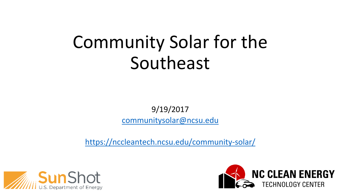# Community Solar for the Southeast

9/19/2017 [communitysolar@ncsu.edu](mailto:communitysolar@ncsu.edu)

<https://nccleantech.ncsu.edu/community-solar/>



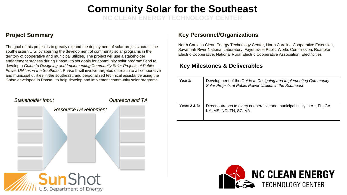#### **Community Solar for the Southeast**

**NC CLEAN ENERGY TECHNOLOGY CENTER**

The goal of this project is to greatly expand the deployment of solar projects across the southeastern U.S. by spurring the development of community solar programs in the territory of cooperative and municipal utilities. The project will use a stakeholder engagement process during Phase I to set goals for community solar programs and to develop a *Guide to Designing and Implementing Community Solar Projects at Public Power Utilities in the Southeast*. Phase II will involve targeted outreach to all cooperative and municipal utilities in the southeast, and personalized technical assistance using the *Guide* developed in Phase I to help develop and implement community solar programs.



#### **Project Summary Constructions Key Personnel/Organizations**

North Carolina Clean Energy Technology Center, North Carolina Cooperative Extension, Savannah River National Laboratory, Fayetteville Public Works Commission, Roanoke Electric Cooperative, National Rural Electric Cooperative Association, Electricities

#### **Key Milestones & Deliverables**

| Year 1:                 | Development of the Guide to Designing and Implementing Community<br>Solar Projects at Public Power Utilities in the Southeast |
|-------------------------|-------------------------------------------------------------------------------------------------------------------------------|
| <b>Years 2 &amp; 3:</b> | Direct outreach to every cooperative and municipal utility in AL, FL, GA,<br>KY, MS, NC, TN, SC, VA                           |

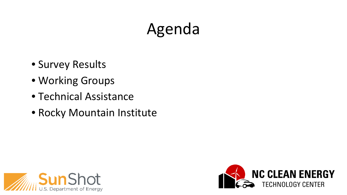# Agenda

- Survey Results
- Working Groups
- Technical Assistance
- Rocky Mountain Institute



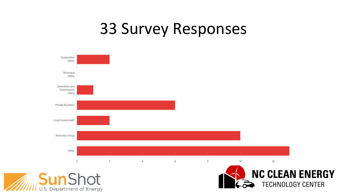#### 33 Survey Responses

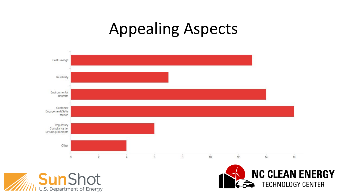#### Appealing Aspects





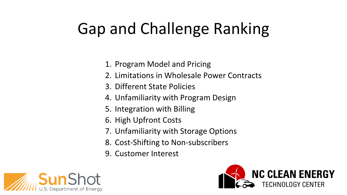# Gap and Challenge Ranking

- 1. Program Model and Pricing
- 2. Limitations in Wholesale Power Contracts
- 3. Different State Policies
- 4. Unfamiliarity with Program Design
- 5. Integration with Billing
- 6. High Upfront Costs
- 7. Unfamiliarity with Storage Options
- 8. Cost-Shifting to Non-subscribers
- 9. Customer Interest



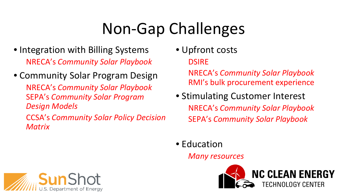# Non-Gap Challenges

- Integration with Billing Systems NRECA's *Community Solar Playbook*
- Community Solar Program Design NRECA's *Community Solar Playbook*  SEPA's *Community Solar Program Design Models* CCSA's *Community Solar Policy Decision*
- Upfront costs **DSIRE**

NRECA's *Community Solar Playbook*  RMI's bulk procurement experience

- Stimulating Customer Interest NRECA's *Community Solar Playbook* SEPA's *Community Solar Playbook*
- Education

*Many resources*





*Matrix*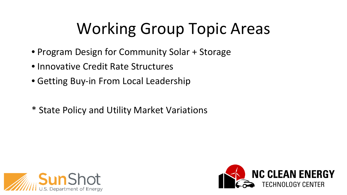# Working Group Topic Areas

- Program Design for Community Solar + Storage
- Innovative Credit Rate Structures
- Getting Buy-in From Local Leadership
- \* State Policy and Utility Market Variations



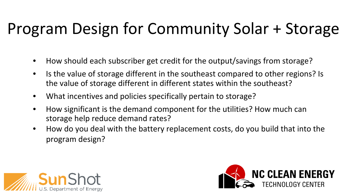# Program Design for Community Solar + Storage

- How should each subscriber get credit for the output/savings from storage?
- Is the value of storage different in the southeast compared to other regions? Is the value of storage different in different states within the southeast?
- What incentives and policies specifically pertain to storage?
- How significant is the demand component for the utilities? How much can storage help reduce demand rates?
- How do you deal with the battery replacement costs, do you build that into the program design?



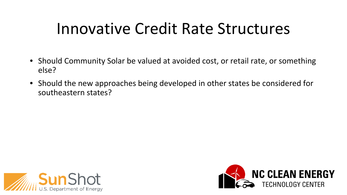#### Innovative Credit Rate Structures

- Should Community Solar be valued at avoided cost, or retail rate, or something else?
- Should the new approaches being developed in other states be considered for southeastern states?



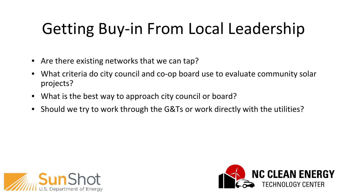# Getting Buy-in From Local Leadership

- Are there existing networks that we can tap?
- What criteria do city council and co-op board use to evaluate community solar projects?
- What is the best way to approach city council or board?
- Should we try to work through the G&Ts or work directly with the utilities?



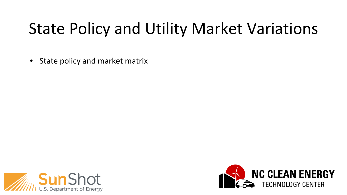### State Policy and Utility Market Variations

• State policy and market matrix



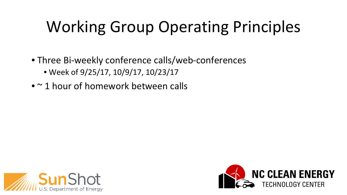# Working Group Operating Principles

- Three Bi-weekly conference calls/web-conferences • Week of 9/25/17, 10/9/17, 10/23/17
- ~ 1 hour of homework between calls



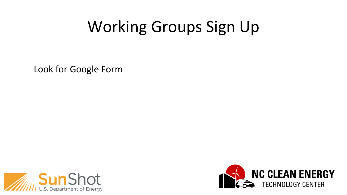### Working Groups Sign Up

Look for Google Form



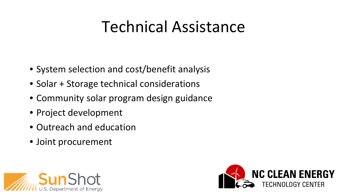#### Technical Assistance

- System selection and cost/benefit analysis
- Solar + Storage technical considerations
- Community solar program design guidance
- Project development
- Outreach and education
- Joint procurement